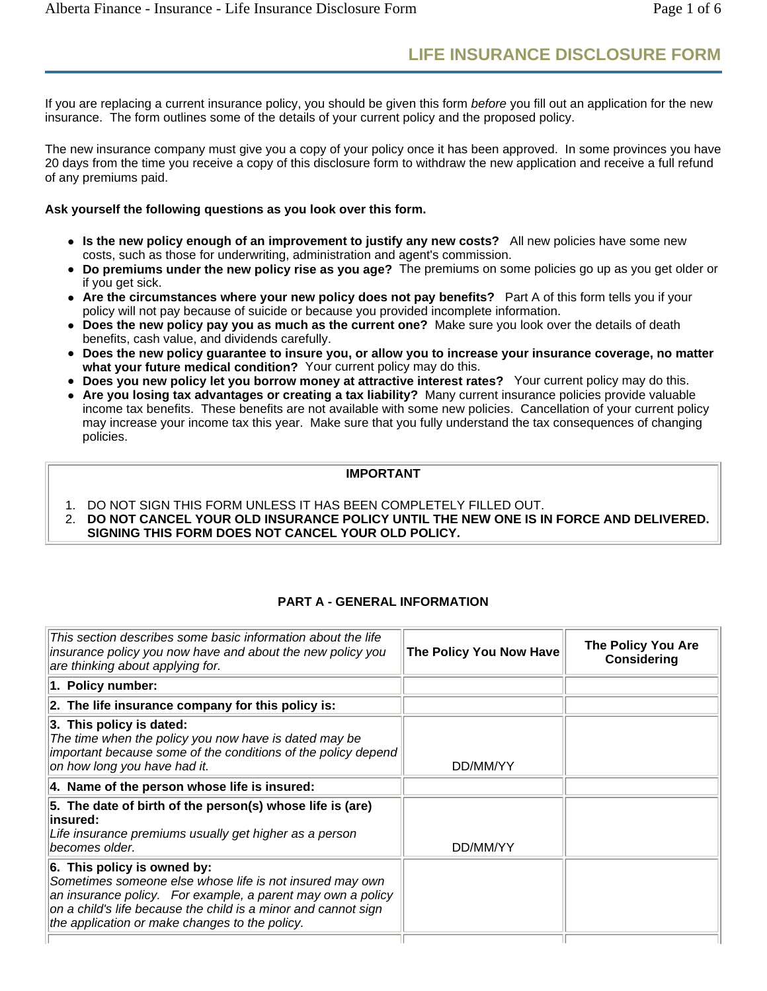# **LIFE INSURANCE DISCLOSURE FORM**

If you are replacing a current insurance policy, you should be given this form *before* you fill out an application for the new insurance. The form outlines some of the details of your current policy and the proposed policy.

The new insurance company must give you a copy of your policy once it has been approved. In some provinces you have 20 days from the time you receive a copy of this disclosure form to withdraw the new application and receive a full refund of any premiums paid.

# **Ask yourself the following questions as you look over this form.**

- Is the new policy enough of an improvement to justify any new costs? All new policies have some new costs, such as those for underwriting, administration and agent's commission.
- <sup>z</sup> **Do premiums under the new policy rise as you age?** The premiums on some policies go up as you get older or if you get sick.
- Are the circumstances where your new policy does not pay benefits? Part A of this form tells you if your policy will not pay because of suicide or because you provided incomplete information.
- **Does the new policy pay you as much as the current one?** Make sure you look over the details of death benefits, cash value, and dividends carefully.
- Does the new policy guarantee to insure you, or allow you to increase your insurance coverage, no matter what your future medical condition? Your current policy may do this.
- Does you new policy let you borrow money at attractive interest rates? Your current policy may do this.
- Are you losing tax advantages or creating a tax liability? Many current insurance policies provide valuable income tax benefits. These benefits are not available with some new policies. Cancellation of your current policy may increase your income tax this year. Make sure that you fully understand the tax consequences of changing policies.

#### **IMPORTANT**

- 1. DO NOT SIGN THIS FORM UNLESS IT HAS BEEN COMPLETELY FILLED OUT.
- 2. **DO NOT CANCEL YOUR OLD INSURANCE POLICY UNTIL THE NEW ONE IS IN FORCE AND DELIVERED. SIGNING THIS FORM DOES NOT CANCEL YOUR OLD POLICY.**

# **PART A - GENERAL INFORMATION**

| This section describes some basic information about the life<br>insurance policy you now have and about the new policy you<br>are thinking about applying for.                                                                                                             | The Policy You Now Have | The Policy You Are<br><b>Considering</b> |
|----------------------------------------------------------------------------------------------------------------------------------------------------------------------------------------------------------------------------------------------------------------------------|-------------------------|------------------------------------------|
| 1. Policy number:                                                                                                                                                                                                                                                          |                         |                                          |
| 2. The life insurance company for this policy is:                                                                                                                                                                                                                          |                         |                                          |
| 3. This policy is dated:<br>The time when the policy you now have is dated may be<br>important because some of the conditions of the policy depend<br>on how long you have had it.                                                                                         | DD/MM/YY                |                                          |
| 4. Name of the person whose life is insured:                                                                                                                                                                                                                               |                         |                                          |
| 5. The date of birth of the person(s) whose life is (are)<br>∣insured:<br>Life insurance premiums usually get higher as a person<br>becomes older.                                                                                                                         | DD/MM/YY                |                                          |
| 6. This policy is owned by:<br>Sometimes someone else whose life is not insured may own<br>an insurance policy. For example, a parent may own a policy<br>on a child's life because the child is a minor and cannot sign<br>the application or make changes to the policy. |                         |                                          |
|                                                                                                                                                                                                                                                                            |                         |                                          |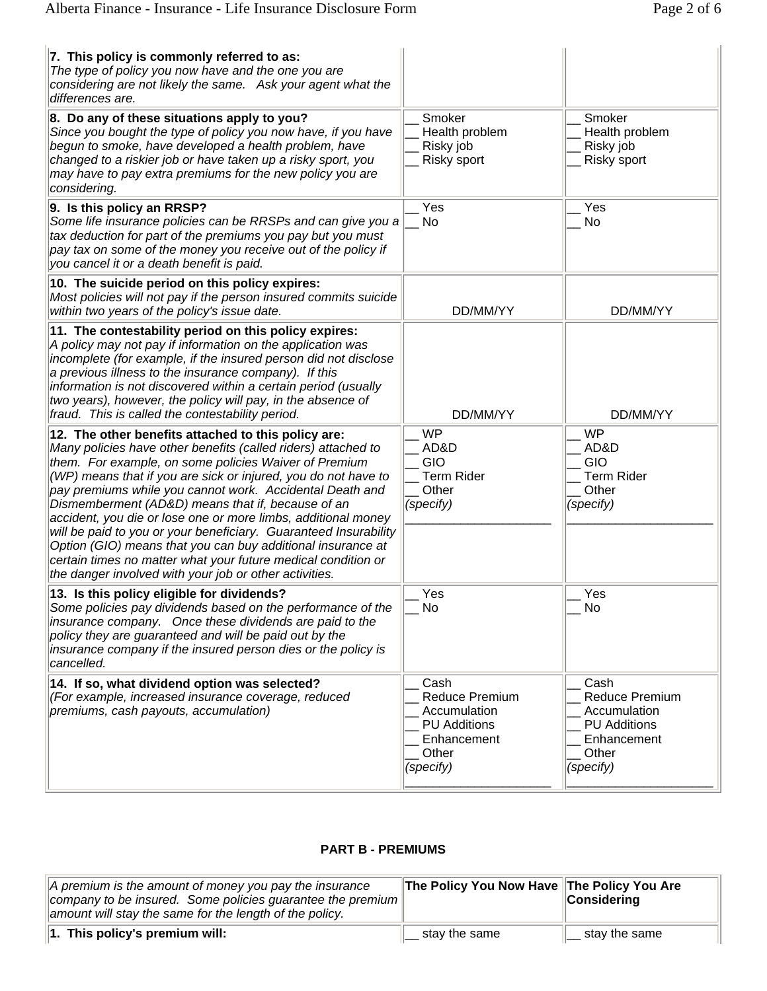| 7. This policy is commonly referred to as:<br>The type of policy you now have and the one you are<br>considering are not likely the same. Ask your agent what the<br>differences are.                                                                                                                                                                                                                                                                                                                                                                                                                                                                                                           |                                                                                                    |                                                                                                    |
|-------------------------------------------------------------------------------------------------------------------------------------------------------------------------------------------------------------------------------------------------------------------------------------------------------------------------------------------------------------------------------------------------------------------------------------------------------------------------------------------------------------------------------------------------------------------------------------------------------------------------------------------------------------------------------------------------|----------------------------------------------------------------------------------------------------|----------------------------------------------------------------------------------------------------|
| 8. Do any of these situations apply to you?<br>Since you bought the type of policy you now have, if you have<br>begun to smoke, have developed a health problem, have<br>changed to a riskier job or have taken up a risky sport, you<br>may have to pay extra premiums for the new policy you are<br>considering.                                                                                                                                                                                                                                                                                                                                                                              | Smoker<br>Health problem<br>Risky job<br>Risky sport                                               | Smoker<br>Health problem<br>Risky job<br><b>Risky sport</b>                                        |
| 9. Is this policy an RRSP?<br>Some life insurance policies can be RRSPs and can give you a<br>tax deduction for part of the premiums you pay but you must<br>pay tax on some of the money you receive out of the policy if<br>you cancel it or a death benefit is paid.                                                                                                                                                                                                                                                                                                                                                                                                                         | Yes<br><b>No</b>                                                                                   | Yes<br>No                                                                                          |
| 10. The suicide period on this policy expires:<br>Most policies will not pay if the person insured commits suicide<br>within two years of the policy's issue date.                                                                                                                                                                                                                                                                                                                                                                                                                                                                                                                              | DD/MM/YY                                                                                           | DD/MM/YY                                                                                           |
| 11. The contestability period on this policy expires:<br>A policy may not pay if information on the application was<br>incomplete (for example, if the insured person did not disclose<br>a previous illness to the insurance company). If this<br>information is not discovered within a certain period (usually<br>two years), however, the policy will pay, in the absence of<br>fraud. This is called the contestability period.                                                                                                                                                                                                                                                            | DD/MM/YY                                                                                           | DD/MM/YY                                                                                           |
| 12. The other benefits attached to this policy are:<br>Many policies have other benefits (called riders) attached to<br>them. For example, on some policies Waiver of Premium<br>(WP) means that if you are sick or injured, you do not have to<br>pay premiums while you cannot work. Accidental Death and<br>Dismemberment (AD&D) means that if, because of an<br>accident, you die or lose one or more limbs, additional money<br>will be paid to you or your beneficiary. Guaranteed Insurability<br>Option (GIO) means that you can buy additional insurance at<br>certain times no matter what your future medical condition or<br>the danger involved with your job or other activities. | <b>WP</b><br>AD&D<br>GIO<br><b>Term Rider</b><br>Other<br>(specify)                                | WP<br>AD&D<br>GIO<br><b>Term Rider</b><br>Other<br>(specify)                                       |
| 13. Is this policy eligible for dividends?<br>Some policies pay dividends based on the performance of the<br>insurance company. Once these dividends are paid to the<br>policy they are guaranteed and will be paid out by the<br>insurance company if the insured person dies or the policy is<br>cancelled.                                                                                                                                                                                                                                                                                                                                                                                   | Yes<br>No                                                                                          | Yes<br>No                                                                                          |
| 14. If so, what dividend option was selected?<br>(For example, increased insurance coverage, reduced<br>premiums, cash payouts, accumulation)                                                                                                                                                                                                                                                                                                                                                                                                                                                                                                                                                   | Cash<br>Reduce Premium<br>Accumulation<br><b>PU Additions</b><br>Enhancement<br>Other<br>(specify) | Cash<br>Reduce Premium<br>Accumulation<br><b>PU Additions</b><br>Enhancement<br>Other<br>(specify) |

# **PART B - PREMIUMS**

| $\vert$ A premium is the amount of money you pay the insurance<br>company to be insured. Some policies guarantee the premium<br>amount will stay the same for the length of the policy. | The Policy You Now Have The Policy You Are | <b>Considering</b> |
|-----------------------------------------------------------------------------------------------------------------------------------------------------------------------------------------|--------------------------------------------|--------------------|
| $\ $ 1. This policy's premium will:                                                                                                                                                     | stay the same                              | stay the same      |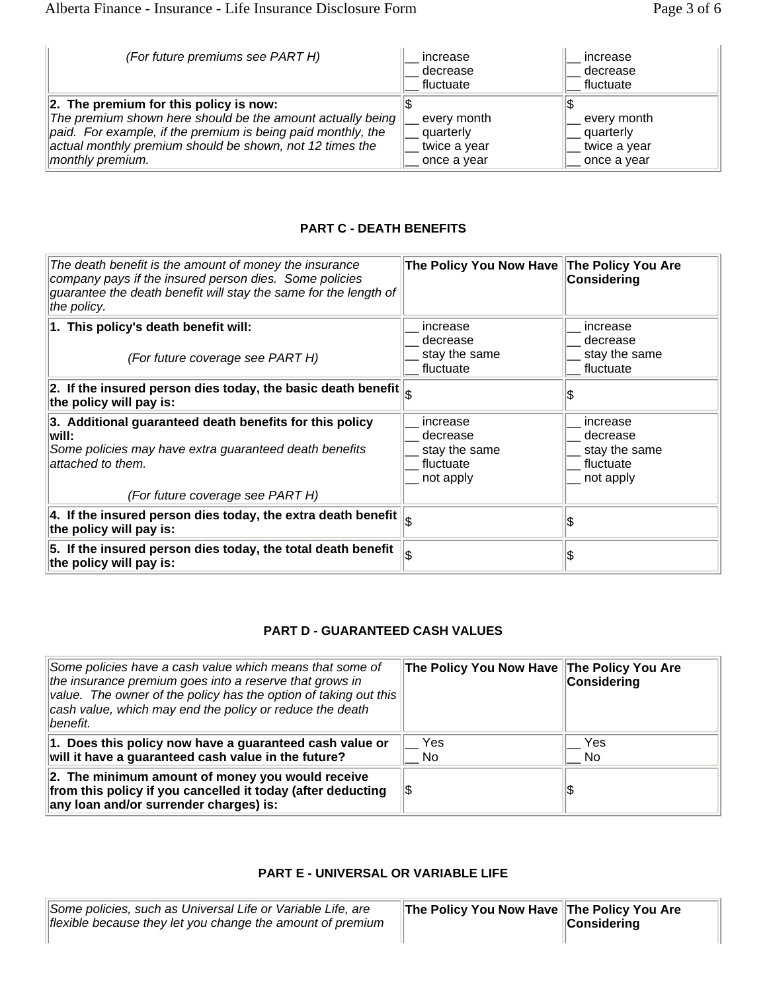| (For future premiums see PART H)                                                                                                                                                                                                                         | increase<br>decrease<br>fluctuate                       | increase<br>decrease<br>fluctuate                       |
|----------------------------------------------------------------------------------------------------------------------------------------------------------------------------------------------------------------------------------------------------------|---------------------------------------------------------|---------------------------------------------------------|
| $\ 2.$ The premium for this policy is now:<br>The premium shown here should be the amount actually being<br>paid. For example, if the premium is being paid monthly, the<br>actual monthly premium should be shown, not 12 times the<br>monthly premium. | every month<br>quarterly<br>twice a year<br>once a year | every month<br>quarterly<br>twice a year<br>once a year |

## **PART C - DEATH BENEFITS**

| The death benefit is the amount of money the insurance<br>company pays if the insured person dies. Some policies<br>guarantee the death benefit will stay the same for the length of<br>the policy. | The Policy You Now Have The Policy You Are                      | Considering                                                     |  |
|-----------------------------------------------------------------------------------------------------------------------------------------------------------------------------------------------------|-----------------------------------------------------------------|-----------------------------------------------------------------|--|
| 1. This policy's death benefit will:<br>(For future coverage see PART H)                                                                                                                            | increase<br>decrease<br>stay the same<br>fluctuate              | increase<br>decrease<br>stay the same<br>fluctuate              |  |
| 2. If the insured person dies today, the basic death benefit $\parallel_{\mathfrak{S}}$<br>the policy will pay is:                                                                                  |                                                                 |                                                                 |  |
| 3. Additional guaranteed death benefits for this policy<br>lwill:<br>Some policies may have extra guaranteed death benefits<br>attached to them.                                                    | increase<br>decrease<br>stay the same<br>fluctuate<br>not apply | increase<br>decrease<br>stay the same<br>fluctuate<br>not apply |  |
| (For future coverage see PART H)                                                                                                                                                                    |                                                                 |                                                                 |  |
| 4. If the insured person dies today, the extra death benefit<br>the policy will pay is:                                                                                                             |                                                                 |                                                                 |  |
| 5. If the insured person dies today, the total death benefit<br>the policy will pay is:                                                                                                             |                                                                 |                                                                 |  |

#### **PART D - GUARANTEED CASH VALUES**

| Some policies have a cash value which means that some of<br>the insurance premium goes into a reserve that grows in<br>value. The owner of the policy has the option of taking out this<br>cash value, which may end the policy or reduce the death<br>benefit. | The Policy You Now Have The Policy You Are | Considering |
|-----------------------------------------------------------------------------------------------------------------------------------------------------------------------------------------------------------------------------------------------------------------|--------------------------------------------|-------------|
| 1. Does this policy now have a guaranteed cash value or<br>will it have a guaranteed cash value in the future?                                                                                                                                                  | Yes<br>No                                  | Yes<br>No.  |
| 2. The minimum amount of money you would receive<br>from this policy if you cancelled it today (after deducting<br>any loan and/or surrender charges) is:                                                                                                       | 15                                         |             |

#### **PART E - UNIVERSAL OR VARIABLE LIFE**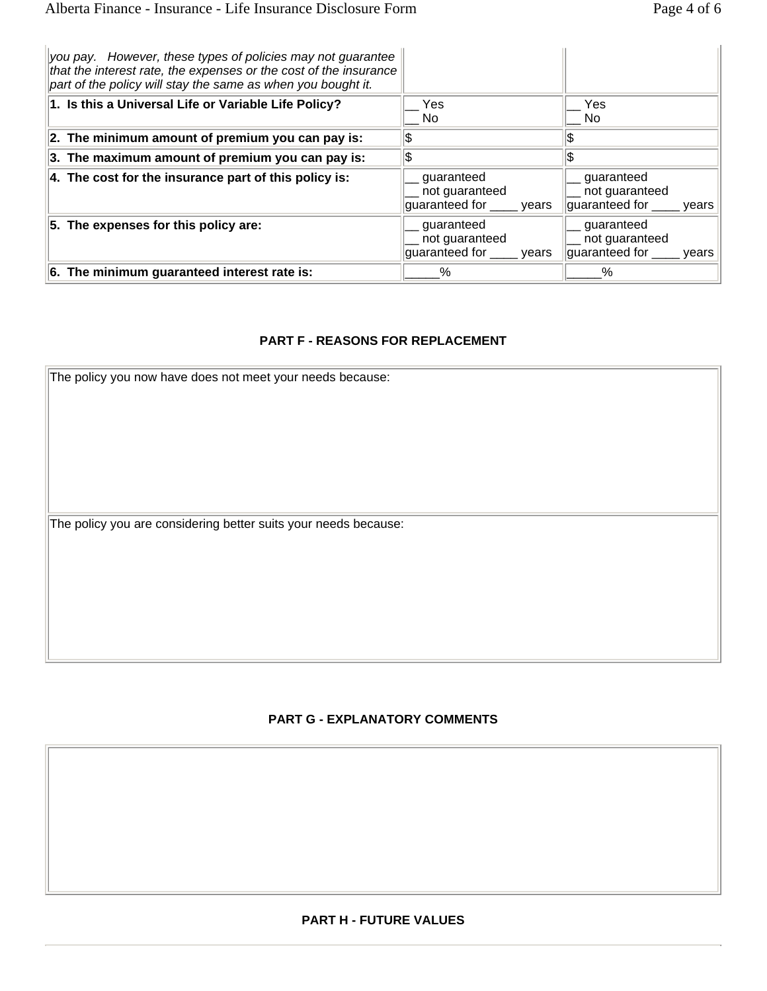| you pay. However, these types of policies may not guarantee<br>that the interest rate, the expenses or the cost of the insurance<br>part of the policy will stay the same as when you bought it. |                                                             |                                                                    |
|--------------------------------------------------------------------------------------------------------------------------------------------------------------------------------------------------|-------------------------------------------------------------|--------------------------------------------------------------------|
| 1. Is this a Universal Life or Variable Life Policy?                                                                                                                                             | Yes<br>No.                                                  | Yes<br>No.                                                         |
| 2. The minimum amount of premium you can pay is:                                                                                                                                                 |                                                             |                                                                    |
| 3. The maximum amount of premium you can pay is:                                                                                                                                                 |                                                             |                                                                    |
| 4. The cost for the insurance part of this policy is:                                                                                                                                            | guaranteed<br>not guaranteed<br>guaranteed for <u>years</u> | guaranteed<br>not guaranteed<br>guaranteed for <u>equili</u> quare |
| 5. The expenses for this policy are:                                                                                                                                                             | guaranteed<br>not guaranteed<br>guaranteed for _____ years  | quaranteed<br>not guaranteed<br>guaranteed for <u>equili</u> quare |
| 6. The minimum guaranteed interest rate is:                                                                                                                                                      | $\%$                                                        | ℅                                                                  |

#### **PART F - REASONS FOR REPLACEMENT**

| The policy you now have does not meet your needs because:       |  |
|-----------------------------------------------------------------|--|
|                                                                 |  |
|                                                                 |  |
|                                                                 |  |
|                                                                 |  |
|                                                                 |  |
|                                                                 |  |
|                                                                 |  |
| The policy you are considering better suits your needs because: |  |
|                                                                 |  |
|                                                                 |  |
|                                                                 |  |
|                                                                 |  |
|                                                                 |  |
|                                                                 |  |
|                                                                 |  |

#### **PART G - EXPLANATORY COMMENTS**

#### **PART H - FUTURE VALUES**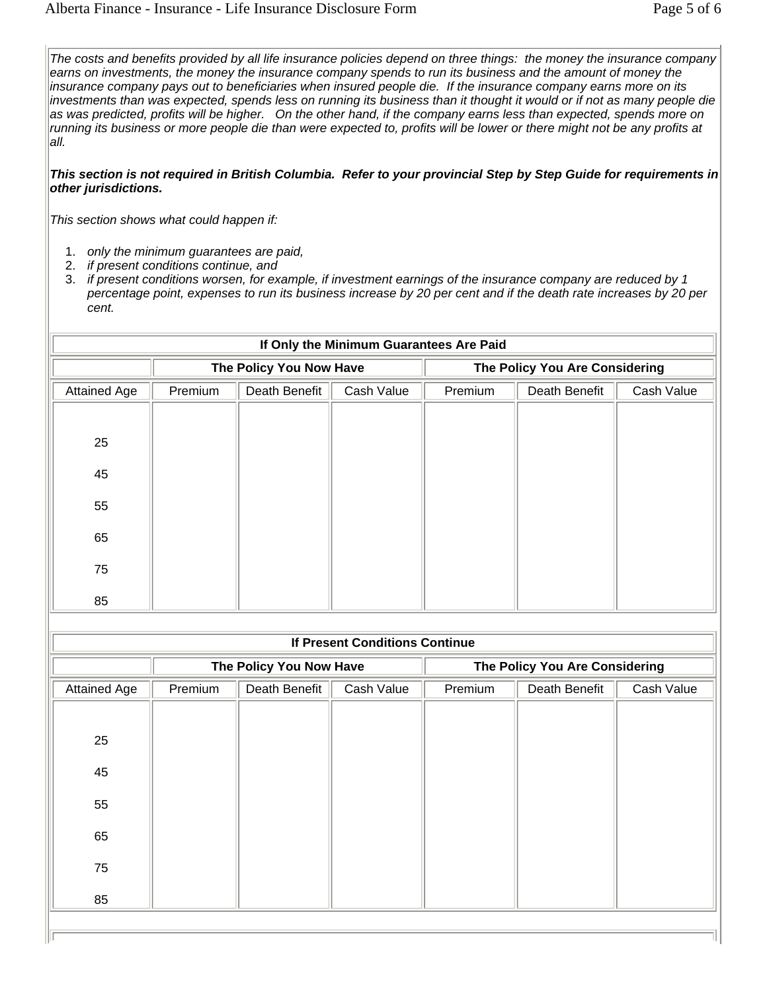*The costs and benefits provided by all life insurance policies depend on three things: the money the insurance company*  earns on investments, the money the insurance company spends to run its business and the amount of money the *insurance company pays out to beneficiaries when insured people die. If the insurance company earns more on its investments than was expected, spends less on running its business than it thought it would or if not as many people die as was predicted, profits will be higher. On the other hand, if the company earns less than expected, spends more on running its business or more people die than were expected to, profits will be lower or there might not be any profits at all.*

*This section is not required in British Columbia. Refer to your provincial Step by Step Guide for requirements in other jurisdictions.*

*This section shows what could happen if:*

- 1. *only the minimum guarantees are paid,*
- 2. *if present conditions continue, and*
- 3. *if present conditions worsen, for example, if investment earnings of the insurance company are reduced by 1 percentage point, expenses to run its business increase by 20 per cent and if the death rate increases by 20 per cent.*

| If Only the Minimum Guarantees Are Paid |         |                         |            |         |                                |            |
|-----------------------------------------|---------|-------------------------|------------|---------|--------------------------------|------------|
|                                         |         | The Policy You Now Have |            |         | The Policy You Are Considering |            |
| <b>Attained Age</b>                     | Premium | Death Benefit           | Cash Value | Premium | Death Benefit                  | Cash Value |
|                                         |         |                         |            |         |                                |            |
| 25                                      |         |                         |            |         |                                |            |
| 45                                      |         |                         |            |         |                                |            |
| 55                                      |         |                         |            |         |                                |            |
| 65                                      |         |                         |            |         |                                |            |
| 75                                      |         |                         |            |         |                                |            |
| 85                                      |         |                         |            |         |                                |            |

| <b>If Present Conditions Continue</b> |         |                         |            |         |                                |            |
|---------------------------------------|---------|-------------------------|------------|---------|--------------------------------|------------|
|                                       |         | The Policy You Now Have |            |         | The Policy You Are Considering |            |
| <b>Attained Age</b>                   | Premium | Death Benefit           | Cash Value | Premium | Death Benefit                  | Cash Value |
|                                       |         |                         |            |         |                                |            |
| 25                                    |         |                         |            |         |                                |            |
| 45                                    |         |                         |            |         |                                |            |
| 55                                    |         |                         |            |         |                                |            |
| 65                                    |         |                         |            |         |                                |            |
| 75                                    |         |                         |            |         |                                |            |
| 85                                    |         |                         |            |         |                                |            |